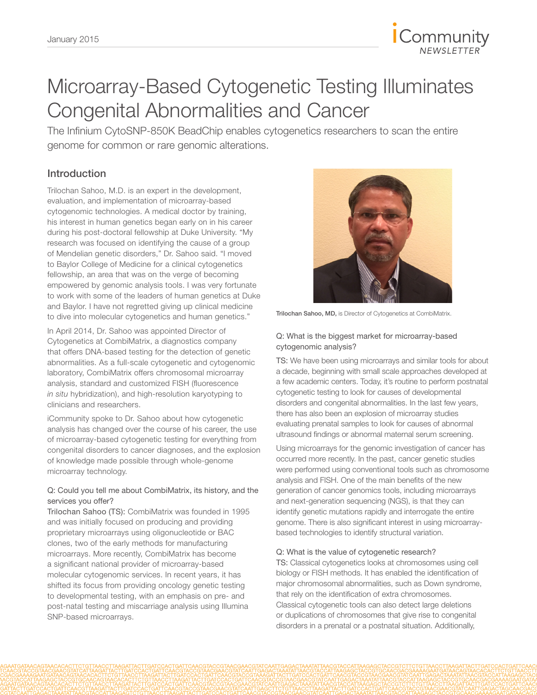

# Microarray-Based Cytogenetic Testing Illuminates Congenital Abnormalities and Cancer

The Infinium CytoSNP-850K BeadChip enables cytogenetics researchers to scan the entire genome for common or rare genomic alterations.

## Introduction

Trilochan Sahoo, M.D. is an expert in the development, evaluation, and implementation of microarray-based cytogenomic technologies. A medical doctor by training, his interest in human genetics began early on in his career during his post-doctoral fellowship at Duke University. "My research was focused on identifying the cause of a group of Mendelian genetic disorders," Dr. Sahoo said. "I moved to Baylor College of Medicine for a clinical cytogenetics fellowship, an area that was on the verge of becoming empowered by genomic analysis tools. I was very fortunate to work with some of the leaders of human genetics at Duke and Baylor. I have not regretted giving up clinical medicine to dive into molecular cytogenetics and human genetics."

In April 2014, Dr. Sahoo was appointed Director of Cytogenetics at CombiMatrix, a diagnostics company that offers DNA-based testing for the detection of genetic abnormalities. As a full-scale cytogenetic and cytogenomic laboratory, CombiMatrix offers chromosomal microarray analysis, standard and customized FISH (fluorescence *in situ* hybridization), and high-resolution karyotyping to clinicians and researchers.

iCommunity spoke to Dr. Sahoo about how cytogenetic analysis has changed over the course of his career, the use of microarray-based cytogenetic testing for everything from congenital disorders to cancer diagnoses, and the explosion of knowledge made possible through whole-genome microarray technology.

#### Q: Could you tell me about CombiMatrix, its history, and the services you offer?

Trilochan Sahoo (TS): CombiMatrix was founded in 1995 and was initially focused on producing and providing proprietary microarrays using oligonucleotide or BAC clones, two of the early methods for manufacturing microarrays. More recently, CombiMatrix has become a significant national provider of microarray-based molecular cytogenomic services. In recent years, it has shifted its focus from providing oncology genetic testing to developmental testing, with an emphasis on pre- and post-natal testing and miscarriage analysis using Illumina SNP-based microarrays.



Trilochan Sahoo, MD, is Director of Cytogenetics at CombiMatrix.

#### Q: What is the biggest market for microarray-based cytogenomic analysis?

TS: We have been using microarrays and similar tools for about a decade, beginning with small scale approaches developed at a few academic centers. Today, it's routine to perform postnatal cytogenetic testing to look for causes of developmental disorders and congenital abnormalities. In the last few years, there has also been an explosion of microarray studies evaluating prenatal samples to look for causes of abnormal ultrasound findings or abnormal maternal serum screening.

Using microarrays for the genomic investigation of cancer has occurred more recently. In the past, cancer genetic studies were performed using conventional tools such as chromosome analysis and FISH. One of the main benefits of the new generation of cancer genomics tools, including microarrays and next-generation sequencing (NGS), is that they can identify genetic mutations rapidly and interrogate the entire genome. There is also significant interest in using microarraybased technologies to identify structural variation.

#### Q: What is the value of cytogenetic research?

TS: Classical cytogenetics looks at chromosomes using cell biology or FISH methods. It has enabled the identification of major chromosomal abnormalities, such as Down syndrome, that rely on the identification of extra chromosomes. Classical cytogenetic tools can also detect large deletions or duplications of chromosomes that give rise to congenital disorders in a prenatal or a postnatal situation. Additionally,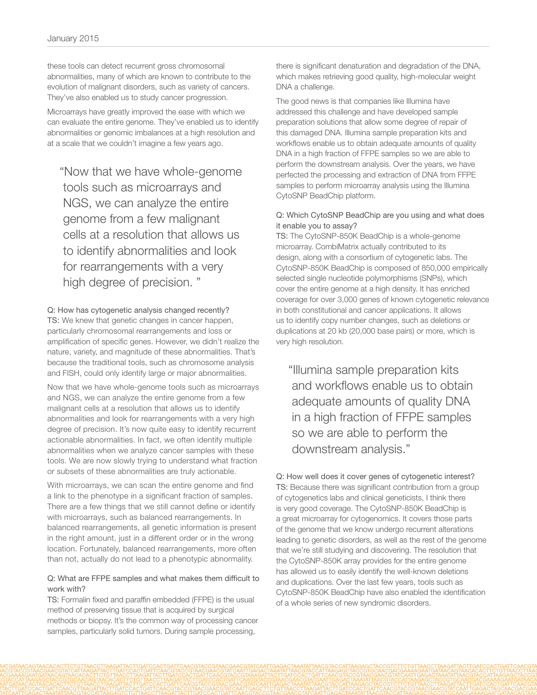these tools can detect recurrent gross chromosomal abnormalities, many of which are known to contribute to the evolution of malignant disorders, such as variety of cancers. They've also enabled us to study cancer progression.

Microarrays have greatly improved the ease with which we can evaluate the entire genome. They've enabled us to identify abnormalities or genomic imbalances at a high resolution and at a scale that we couldn't imagine a few years ago.

"Now that we have whole-genome tools such as microarrays and NGS, we can analyze the entire genome from a few malignant cells at a resolution that allows us to identify abnormalities and look for rearrangements with a very high degree of precision. "

Q: How has cytogenetic analysis changed recently? TS: We knew that genetic changes in cancer happen, particularly chromosomal rearrangements and loss or amplification of specific genes. However, we didn't realize the nature, variety, and magnitude of these abnormalities. That's because the traditional tools, such as chromosome analysis and FISH, could only identify large or major abnormalities.

Now that we have whole-genome tools such as microarrays and NGS, we can analyze the entire genome from a few malignant cells at a resolution that allows us to identify abnormalities and look for rearrangements with a very high degree of precision. It's now quite easy to identify recurrent actionable abnormalities. In fact, we often identify multiple abnormalities when we analyze cancer samples with these tools. We are now slowly trying to understand what fraction or subsets of these abnormalities are truly actionable.

With microarrays, we can scan the entire genome and find a link to the phenotype in a significant fraction of samples. There are a few things that we still cannot define or identify with microarrays, such as balanced rearrangements. In balanced rearrangements, all genetic information is present in the right amount, just in a different order or in the wrong location. Fortunately, balanced rearrangements, more often than not, actually do not lead to a phenotypic abnormality.

#### Q: What are FFPE samples and what makes them difficult to work with?

TS: Formalin fixed and paraffin embedded (FFPE) is the usual method of preserving tissue that is acquired by surgical methods or biopsy. It's the common way of processing cancer samples, particularly solid tumors. During sample processing,

there is significant denaturation and degradation of the DNA, which makes retrieving good quality, high-molecular weight DNA a challenge.

The good news is that companies like Illumina have addressed this challenge and have developed sample preparation solutions that allow some degree of repair of this damaged DNA. Illumina sample preparation kits and workflows enable us to obtain adequate amounts of quality DNA in a high fraction of FFPE samples so we are able to perform the downstream analysis. Over the years, we have perfected the processing and extraction of DNA from FFPE samples to perform microarray analysis using the Illumina CytoSNP BeadChip platform.

#### Q: Which CytoSNP BeadChip are you using and what does it enable you to assay?

TS: The CytoSNP-850K BeadChip is a whole-genome microarray. CombiMatrix actually contributed to its design, along with a consortium of cytogenetic labs. The CytoSNP-850K BeadChip is composed of 850,000 empirically selected single nucleotide polymorphisms (SNPs), which cover the entire genome at a high density. It has enriched coverage for over 3,000 genes of known cytogenetic relevance in both constitutional and cancer applications. It allows us to identify copy number changes, such as deletions or duplications at 20 kb (20,000 base pairs) or more, which is very high resolution.

"Illumina sample preparation kits and workflows enable us to obtain adequate amounts of quality DNA in a high fraction of FFPE samples so we are able to perform the downstream analysis."

Q: How well does it cover genes of cytogenetic interest? TS: Because there was significant contribution from a group of cytogenetics labs and clinical geneticists, I think there is very good coverage. The CytoSNP-850K BeadChip is a great microarray for cytogenomics. It covers those parts of the genome that we know undergo recurrent alterations leading to genetic disorders, as well as the rest of the genome that we're still studying and discovering. The resolution that the CytoSNP-850K array provides for the entire genome has allowed us to easily identify the well-known deletions and duplications. Over the last few years, tools such as CytoSNP-850K BeadChip have also enabled the identification of a whole series of new syndromic disorders.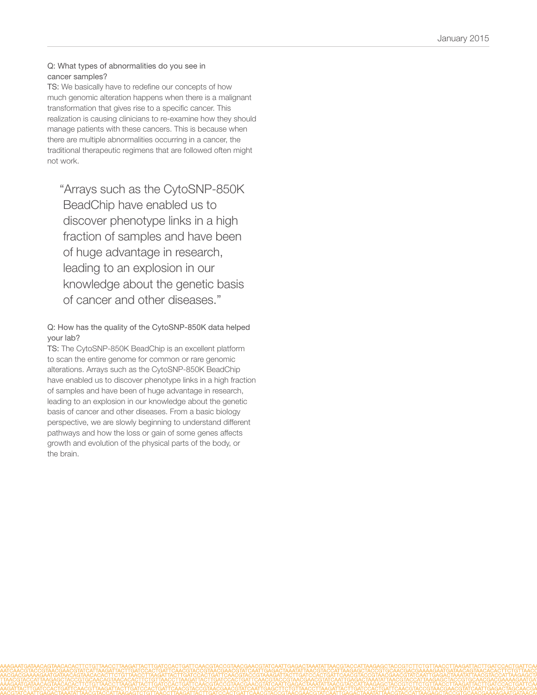#### Q: What types of abnormalities do you see in cancer samples?

TS: We basically have to redefine our concepts of how much genomic alteration happens when there is a malignant transformation that gives rise to a specific cancer. This realization is causing clinicians to re-examine how they should manage patients with these cancers. This is because when there are multiple abnormalities occurring in a cancer, the traditional therapeutic regimens that are followed often might not work.

"Arrays such as the CytoSNP-850K BeadChip have enabled us to discover phenotype links in a high fraction of samples and have been of huge advantage in research, leading to an explosion in our knowledge about the genetic basis of cancer and other diseases."

### Q: How has the quality of the CytoSNP-850K data helped your lab?

TS: The CytoSNP-850K BeadChip is an excellent platform to scan the entire genome for common or rare genomic alterations. Arrays such as the CytoSNP-850K BeadChip have enabled us to discover phenotype links in a high fraction of samples and have been of huge advantage in research, leading to an explosion in our knowledge about the genetic basis of cancer and other diseases. From a basic biology perspective, we are slowly beginning to understand different pathways and how the loss or gain of some genes affects growth and evolution of the physical parts of the body, or the brain.